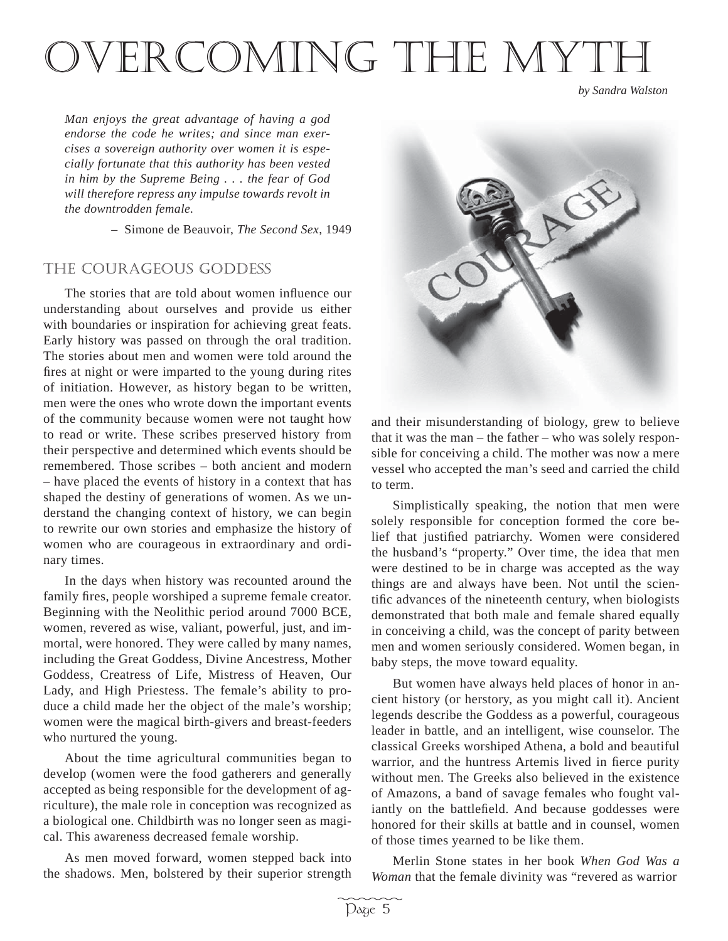# overcoming the myth

*by Sandra Walston*

*Man enjoys the great advantage of having a god endorse the code he writes; and since man exercises a sovereign authority over women it is especially fortunate that this authority has been vested in him by the Supreme Being . . . the fear of God will therefore repress any impulse towards revolt in the downtrodden female.* 

– Simone de Beauvoir, *The Second Sex*, 1949

### the courageous goddess

The stories that are told about women influence our understanding about ourselves and provide us either with boundaries or inspiration for achieving great feats. Early history was passed on through the oral tradition. The stories about men and women were told around the fires at night or were imparted to the young during rites of initiation. However, as history began to be written, men were the ones who wrote down the important events of the community because women were not taught how to read or write. These scribes preserved history from their perspective and determined which events should be remembered. Those scribes – both ancient and modern – have placed the events of history in a context that has shaped the destiny of generations of women. As we understand the changing context of history, we can begin to rewrite our own stories and emphasize the history of women who are courageous in extraordinary and ordinary times.

In the days when history was recounted around the family fires, people worshiped a supreme female creator. Beginning with the Neolithic period around 7000 BCE, women, revered as wise, valiant, powerful, just, and immortal, were honored. They were called by many names, including the Great Goddess, Divine Ancestress, Mother Goddess, Creatress of Life, Mistress of Heaven, Our Lady, and High Priestess. The female's ability to produce a child made her the object of the male's worship; women were the magical birth-givers and breast-feeders who nurtured the young.

About the time agricultural communities began to develop (women were the food gatherers and generally accepted as being responsible for the development of agriculture), the male role in conception was recognized as a biological one. Childbirth was no longer seen as magical. This awareness decreased female worship.

As men moved forward, women stepped back into the shadows. Men, bolstered by their superior strength



and their misunderstanding of biology, grew to believe that it was the man – the father – who was solely responsible for conceiving a child. The mother was now a mere vessel who accepted the man's seed and carried the child to term.

Simplistically speaking, the notion that men were solely responsible for conception formed the core belief that justified patriarchy. Women were considered the husband's "property." Over time, the idea that men were destined to be in charge was accepted as the way things are and always have been. Not until the scientific advances of the nineteenth century, when biologists demonstrated that both male and female shared equally in conceiving a child, was the concept of parity between men and women seriously considered. Women began, in baby steps, the move toward equality.

But women have always held places of honor in ancient history (or herstory, as you might call it). Ancient legends describe the Goddess as a powerful, courageous leader in battle, and an intelligent, wise counselor. The classical Greeks worshiped Athena, a bold and beautiful warrior, and the huntress Artemis lived in fierce purity without men. The Greeks also believed in the existence of Amazons, a band of savage females who fought valiantly on the battlefield. And because goddesses were honored for their skills at battle and in counsel, women of those times yearned to be like them.

Merlin Stone states in her book *When God Was a Woman* that the female divinity was "revered as warrior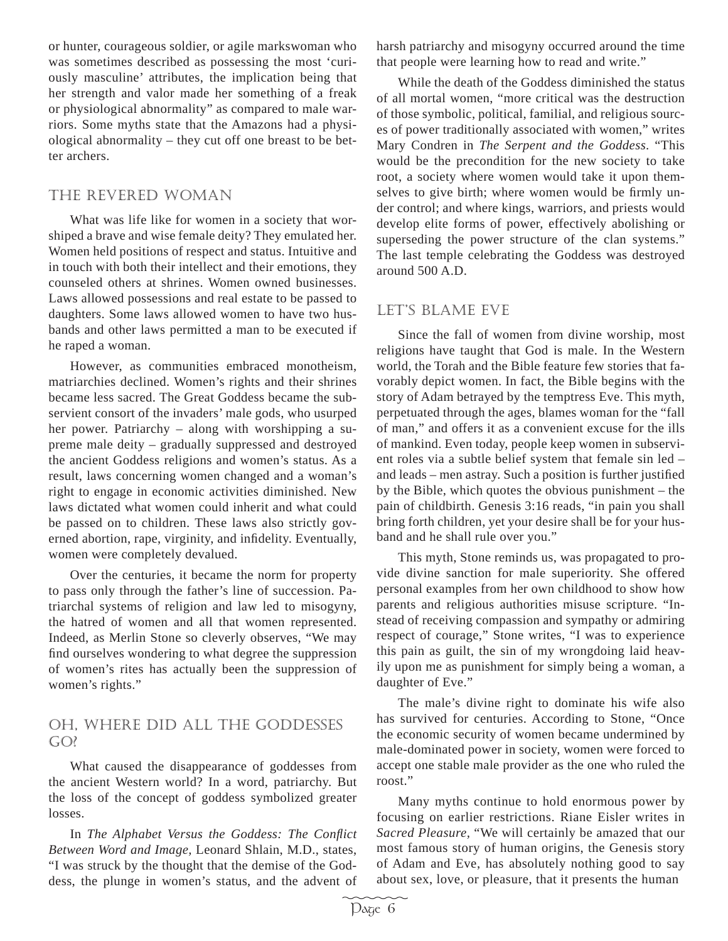or hunter, courageous soldier, or agile markswoman who was sometimes described as possessing the most 'curiously masculine' attributes, the implication being that her strength and valor made her something of a freak or physiological abnormality" as compared to male warriors. Some myths state that the Amazons had a physiological abnormality – they cut off one breast to be better archers.

## the revered woman

What was life like for women in a society that worshiped a brave and wise female deity? They emulated her. Women held positions of respect and status. Intuitive and in touch with both their intellect and their emotions, they counseled others at shrines. Women owned businesses. Laws allowed possessions and real estate to be passed to daughters. Some laws allowed women to have two husbands and other laws permitted a man to be executed if he raped a woman.

However, as communities embraced monotheism, matriarchies declined. Women's rights and their shrines became less sacred. The Great Goddess became the subservient consort of the invaders' male gods, who usurped her power. Patriarchy – along with worshipping a supreme male deity – gradually suppressed and destroyed the ancient Goddess religions and women's status. As a result, laws concerning women changed and a woman's right to engage in economic activities diminished. New laws dictated what women could inherit and what could be passed on to children. These laws also strictly governed abortion, rape, virginity, and infidelity. Eventually, women were completely devalued.

Over the centuries, it became the norm for property to pass only through the father's line of succession. Patriarchal systems of religion and law led to misogyny, the hatred of women and all that women represented. Indeed, as Merlin Stone so cleverly observes, "We may find ourselves wondering to what degree the suppression of women's rites has actually been the suppression of women's rights."

### oh, where did all the goddesses go?

What caused the disappearance of goddesses from the ancient Western world? In a word, patriarchy. But the loss of the concept of goddess symbolized greater losses.

In *The Alphabet Versus the Goddess: The Conflict Between Word and Image,* Leonard Shlain, M.D., states, "I was struck by the thought that the demise of the Goddess, the plunge in women's status, and the advent of harsh patriarchy and misogyny occurred around the time that people were learning how to read and write."

While the death of the Goddess diminished the status of all mortal women, "more critical was the destruction of those symbolic, political, familial, and religious sources of power traditionally associated with women," writes Mary Condren in *The Serpent and the Goddess*. "This would be the precondition for the new society to take root, a society where women would take it upon themselves to give birth; where women would be firmly under control; and where kings, warriors, and priests would develop elite forms of power, effectively abolishing or superseding the power structure of the clan systems." The last temple celebrating the Goddess was destroyed around 500 A.D.

## let's blame eve

Since the fall of women from divine worship, most religions have taught that God is male. In the Western world, the Torah and the Bible feature few stories that favorably depict women. In fact, the Bible begins with the story of Adam betrayed by the temptress Eve. This myth, perpetuated through the ages, blames woman for the "fall of man," and offers it as a convenient excuse for the ills of mankind. Even today, people keep women in subservient roles via a subtle belief system that female sin led – and leads – men astray. Such a position is further justified by the Bible, which quotes the obvious punishment – the pain of childbirth. Genesis 3:16 reads, "in pain you shall bring forth children, yet your desire shall be for your husband and he shall rule over you."

This myth, Stone reminds us, was propagated to provide divine sanction for male superiority. She offered personal examples from her own childhood to show how parents and religious authorities misuse scripture. "Instead of receiving compassion and sympathy or admiring respect of courage," Stone writes, "I was to experience this pain as guilt, the sin of my wrongdoing laid heavily upon me as punishment for simply being a woman, a daughter of Eve."

The male's divine right to dominate his wife also has survived for centuries. According to Stone, "Once the economic security of women became undermined by male-dominated power in society, women were forced to accept one stable male provider as the one who ruled the roost."

Many myths continue to hold enormous power by focusing on earlier restrictions. Riane Eisler writes in *Sacred Pleasure,* "We will certainly be amazed that our most famous story of human origins, the Genesis story of Adam and Eve, has absolutely nothing good to say about sex, love, or pleasure, that it presents the human